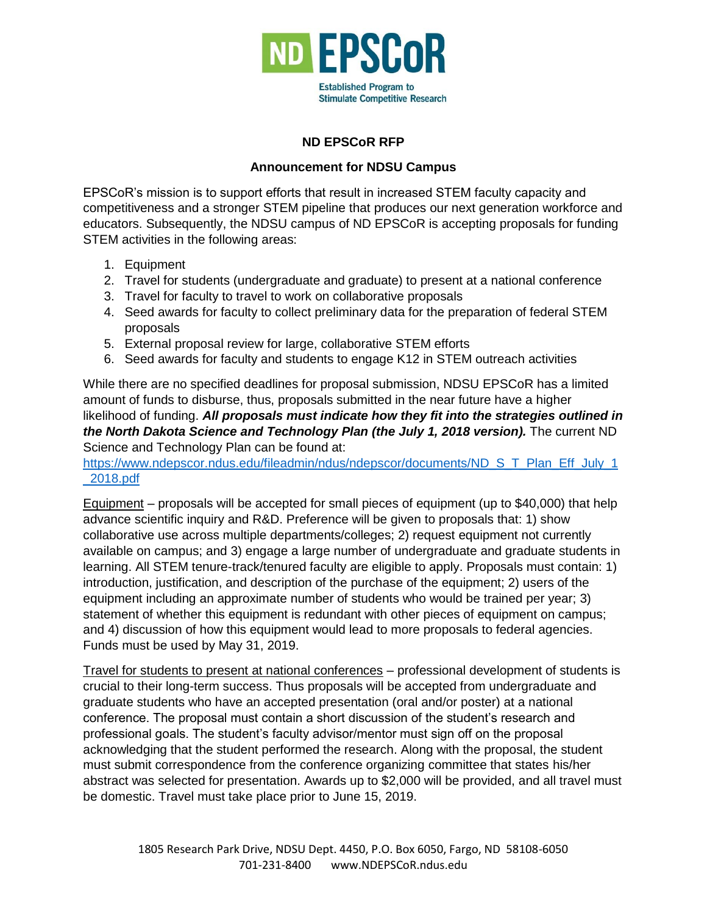

## **ND EPSCoR RFP**

## **Announcement for NDSU Campus**

EPSCoR's mission is to support efforts that result in increased STEM faculty capacity and competitiveness and a stronger STEM pipeline that produces our next generation workforce and educators. Subsequently, the NDSU campus of ND EPSCoR is accepting proposals for funding STEM activities in the following areas:

- 1. Equipment
- 2. Travel for students (undergraduate and graduate) to present at a national conference
- 3. Travel for faculty to travel to work on collaborative proposals
- 4. Seed awards for faculty to collect preliminary data for the preparation of federal STEM proposals
- 5. External proposal review for large, collaborative STEM efforts
- 6. Seed awards for faculty and students to engage K12 in STEM outreach activities

While there are no specified deadlines for proposal submission, NDSU EPSCoR has a limited amount of funds to disburse, thus, proposals submitted in the near future have a higher likelihood of funding. *All proposals must indicate how they fit into the strategies outlined in the North Dakota Science and Technology Plan (the July 1, 2018 version).* The current ND Science and Technology Plan can be found at:

[https://www.ndepscor.ndus.edu/fileadmin/ndus/ndepscor/documents/ND\\_S\\_T\\_Plan\\_Eff\\_July\\_1](https://www.ndepscor.ndus.edu/fileadmin/ndus/ndepscor/documents/ND_S_T_Plan_Eff_July_1_2018.pdf) [\\_2018.pdf](https://www.ndepscor.ndus.edu/fileadmin/ndus/ndepscor/documents/ND_S_T_Plan_Eff_July_1_2018.pdf)

Equipment – proposals will be accepted for small pieces of equipment (up to \$40,000) that help advance scientific inquiry and R&D. Preference will be given to proposals that: 1) show collaborative use across multiple departments/colleges; 2) request equipment not currently available on campus; and 3) engage a large number of undergraduate and graduate students in learning. All STEM tenure-track/tenured faculty are eligible to apply. Proposals must contain: 1) introduction, justification, and description of the purchase of the equipment; 2) users of the equipment including an approximate number of students who would be trained per year; 3) statement of whether this equipment is redundant with other pieces of equipment on campus; and 4) discussion of how this equipment would lead to more proposals to federal agencies. Funds must be used by May 31, 2019.

Travel for students to present at national conferences – professional development of students is crucial to their long-term success. Thus proposals will be accepted from undergraduate and graduate students who have an accepted presentation (oral and/or poster) at a national conference. The proposal must contain a short discussion of the student's research and professional goals. The student's faculty advisor/mentor must sign off on the proposal acknowledging that the student performed the research. Along with the proposal, the student must submit correspondence from the conference organizing committee that states his/her abstract was selected for presentation. Awards up to \$2,000 will be provided, and all travel must be domestic. Travel must take place prior to June 15, 2019.